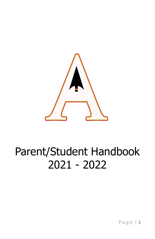

# Parent/Student Handbook 2021 - 2022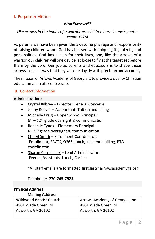#### I. Purpose & Mission

## **Why "Arrows"?**

## *Like arrows in the hands of a warrior are children born in one's youth-Psalm 127:4*

As parents we have been given the awesome privilege and responsibility of raising children whom God has blessed with unique gifts, talents, and personalities. God has a plan for their lives, and, like the arrows of a warrior, our children will one day be let loose to fly at the target set before them by the Lord. Our job as parents and educators is to shape those arrows in such a way that they will one day fly with precision and accuracy.

The mission of Arrows Academy of Georgia is to provide a quality Christian education at an affordable rate.

## II. Contact Information

#### **Administration:**

- Crystal Bilbrey Director: General Concerns
- Jenny Reaves Accountant: Tuition and billing
- Michelle Craig Upper School Principal:  $6<sup>th</sup> - 12<sup>th</sup>$  grade oversight & communication
- Rochelle Tynes Elementary Principal:  $K - 5<sup>th</sup>$  grade oversight & communication
- Cheryl Smith Enrollment Coordinator: Enrollment, FACTS, O365, lunch, incidental billing, PTA coordinator.
- Sharon Carmichael Lead Administrator: Events, Assistants, Lunch, Carline

\*All staff emails are formatted first.last@arrowsacademyga.org

Telephone: **770-765-7923**

#### **Physical Address:**

#### **Mailing Address:** Wildwood Baptist Church 4801 Wade Green Rd Acworth, GA 30102 Arrows Academy of Georgia, Inc 4801 Wade Green Rd Acworth, GA 30102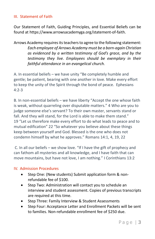#### III. Statement of Faith

Our Statement of Faith, Guiding Principles, and Essential Beliefs can be found at [https://www.arrowsacademyga.org/statement-of-faith.](https://www.arrowsacademyga.org/statement-of-faith)

Arrows Academy requires its teachers to agree to the following statement: *Each employee of Arrows Academy must be a born-again Christian as evidenced by a written testimony of God's grace, and by the testimony they live. Employees should be exemplary in their faithful attendance in an evangelical church.* 

A. In essential beliefs – we have unity "Be completely humble and gentle; be patient, bearing with one another in love. Make every effort to keep the unity of the Spirit through the bond of peace. Ephesians 4:2-3

B. In non-essential beliefs – we have liberty "Accept the one whose faith is weak, without quarreling over disputable matters." 4 Who are you to judge someone else's servant? To their own master, servants stand or fall. And they will stand, for the Lord is able to make them stand." 19 "Let us therefore make every effort to do what leads to peace and to mutual edification" 22 "So whatever you believe about these things keep between yourself and God. Blessed is the one who does not condemn himself by what he approves." Romans 14:1, 4, 19, 22

C. In all our beliefs – we show love. "If I have the gift of prophecy and can fathom all mysteries and all knowledge, and I have faith that can move mountains, but have not love, I am nothing." I Corinthians 13:2

#### IV. Admission Procedures

- Step One: (New students) Submit application form & nonrefundable fee of \$100.
- Step Two: Administration will contact you to schedule an interview and student assessment. Copies of previous transcripts are required at this time.
- Step Three: Family Interview & Student Assessments
- Step Four: Acceptance Letter and Enrollment Packets will be sent to families. Non-refundable enrollment fee of \$250 due.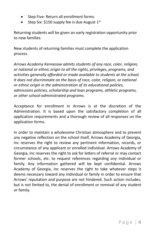- Step Five: Return all enrollment forms.
- Step Six:  $$150$  supply fee is due August  $1^{st.}$

Returning students will be given an early registration opportunity prior to new families.

New students of returning families must complete the application process.

*Arrows Academy Kennesaw admits students of any race, color, religion, or national or ethnic origin to all the rights, privileges, programs, and activities generally afforded or made available to students at the school. It does not discriminate on the basis of race, color, religion, or national or ethnic origin in the administration of its educational policies, admissions policies, scholarship and loan programs, athletic programs, or other school-administrated programs.*

Acceptance for enrollment in Arrows is at the discretion of the Administration. It is based upon the satisfactory completion of all application requirements and a thorough review of all responses on the application forms.

In order to maintain a wholesome Christian atmosphere and to prevent any negative reflection on the school itself, Arrows Academy of Georgia, Inc reserves the right to review any pertinent information, records, or circumstance of any applicant or enrolled individual. Arrows Academy of Georgia, Inc reserves the right to ask for letters of referral or may contact former schools, etc. to request references regarding any individual or family. Any information gathered will be kept confidential. Arrows Academy of Georgia, Inc reserves the right to take whatever steps it deems necessary toward any individual or family in order to ensure that Arrows' reputation and purpose are not hindered. Such action includes, but is not limited to, the denial of enrollment or removal of any student or family.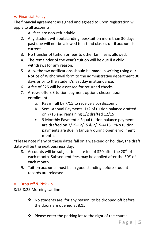## V. Financial Policy

The financial agreement as signed and agreed to upon registration will apply to all accounts:

- 1. All fees are non-refundable.
- 2. Any student with outstanding fees/tuition more than 30 days past due will not be allowed to attend classes until account is current.
- 3. No transfer of tuition or fees to other families is allowed.
- 4. The remainder of the year's tuition will be due if a child withdraws for any reason.
- 5. All withdraw notifications should be made in writing using our Notice of Withdrawal form to the administrative department 30 days prior to the student's last day in attendance.
- 6. A fee of \$25 will be assessed for returned checks.
- 7. Arrows offers 3 tuition payment options chosen upon enrollment:
	- a. Pay in full by 7/15 to receive a 5% discount
	- b. Semi-Annual Payments: 1/2 of tuition balance drafted on 7/15 and remaining 1/2 drafted 12/15
	- c. 9 Monthly Payments: Equal tuition balance payments are drafted on 7/15-12/15 & 2/15-4/15. \*No tuition payments are due in January during open enrollment month.

\*Please note if any of these dates fall on a weekend or holiday, the draft date will be the next business day.

- 8. Accounts will be subject to a late fee of  $$20$  after the  $20<sup>th</sup>$  of each month. Subsequent fees may be applied after the 30<sup>th</sup> of each month.
- 9. Tuition accounts must be in good standing before student records are released.

## VI. Drop off & Pick Up

8:15-8:25 Morning car line

- ❖ No students are, for any reason, to be dropped off before the doors are opened at 8:15.
- ❖ Please enter the parking lot to the right of the church

P a g e | **5**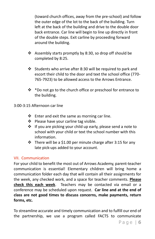(toward church offices, away from the pre-school) and follow the outer edge of the lot to the back of the building. Turn left at the back of the building and drive to the double door back entrance. Car line will begin to line up directly in front of the double steps. Exit carline by proceeding forward around the building.

- ❖ Assembly starts promptly by 8:30, so drop off should be completed by 8:25.
- ❖ Students who arrive after 8:30 will be required to park and escort their child to the door and text the school office (770- 765-7923) to be allowed access to the Arrows Entrance.
- ❖ \*Do not go to the church office or preschool for entrance to the building.
- 3:00-3:15 Afternoon car line
	- $\cdot \cdot$  Enter and exit the same as morning car line.
	- ❖ Please have your carline tag visible.
	- ❖ If you are picking your child up early, please send a note to school with your child or text the school number with this information.
	- ❖ There will be a \$1.00 per minute charge after 3:15 for any late pick-ups added to your account.

## VII. Communication

For your child to benefit the most out of Arrows Academy, parent-teacher communication is essential! Elementary children will bring home a communication folder each day that will contain all their assignments for the week, any checked work, and a space for teacher comments. **Please check this each week**. Teachers may be contacted via email or a conference may be scheduled upon request. **Car line and at the end of class are not good times to discuss concerns, make payments, return forms, etc.**

To streamline accurate and timely communication and to fulfill our end of the partnership, we use a program called FACTS to communicate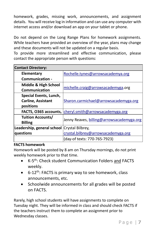homework, grades, missing work, announcements, and assignment details. You will receive log in information and can use any computer with internet access and/or download an app on your tablet or phone.

Do not depend on the Long Range Plans for homework assignments. While teachers have provided an overview of the year, plans may change and these documents will not be updated on a regular basis.

To provide more streamlined and effective communication, please contact the appropriate person with questions:

| <b>Contact Directory:</b>                   |                                           |
|---------------------------------------------|-------------------------------------------|
| <b>Elementary</b>                           | Rochelle.tynes@arrowsacademya.org         |
| <b>Communication -</b>                      |                                           |
| Middle & High School                        | michelle.craig@arrowsacademyga.org        |
| Communication                               |                                           |
| Special Events, Lunch,                      |                                           |
| <b>Carline, Assistant</b>                   | Sharon.carmichael@arrowsacademyga.org     |
| positions                                   |                                           |
| FACTS, O365 accounts,                       | cheryl.smith@arrowsacademyga.org          |
| <b>Tuition Accounts/</b>                    | Jenny Reaves, billing@arrowsacademyga.org |
| <b>Billing</b>                              |                                           |
| Leadership, general school Crystal Bilbrey, |                                           |
| questions                                   | crystal.bilbrey@arrowsacademyga.org       |
|                                             | (day-of texts: 770-765-7923)              |

## **FACTS homework**

Homework will be posted by 8 am on Thursday mornings, do not print weekly homework prior to that time.

- K-5<sup>th</sup>: Check student Communication Folders and FACTS weekly.
- $\bullet$  6-12<sup>th</sup>: FACTS is primary way to see homework, class announcements, etc.
- Schoolwide announcements for all grades will be posted on FACTS.

Rarely, high school students will have assignments to complete on Tuesday night. They will be informed in class and should check FACTS if the teachers instruct them to complete an assignment prior to Wednesday classes.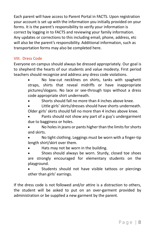Each parent will have access to Parent Portal in FACTS. Upon registration your account is set up with the information you initially provided on your forms. It is the parent's responsibility to verify your information is correct by logging in to FACTS and reviewing your family information. Any updates or corrections to this including email, phone, address, etc will also be the parent's responsibility. Additional information, such as transportation forms may also be completed here.

## VIII. Dress Code

Everyone on campus should always be dressed appropriately. Our goal is to shepherd the hearts of our students and value modesty. First period teachers should recognize and address any dress code violations.

> No low-cut necklines on shirts, tanks with spaghetti straps, shirts that reveal midriffs or have inappropriate pictures/slogans. No lace or see-through tops without a dress code appropriate shirt underneath.

• Shorts should fall no more than 4 inches above knee.

Little girls' skirts/dresses should have shorts underneath. Older girls' skirts should fall no more than 4 inches above knee.

Pants should not show any part of a guy's undergarment due to bagginess or holes.

• No holes in jeans or pants higher than the limits for shorts and skirts.

• No tight clothing. Leggings must be worn with a finger-tip length shirt/skirt over them.

Hats may not be worn in the building.

Shoes should always be worn. Sturdy, closed toe shoes are strongly encouraged for elementary students on the playground.

Students should not have visible tattoos or piercings other than girls' earrings.

If the dress code is not followed and/or attire is a distraction to others, the student will be asked to put on an over-garment provided by administration or be supplied a new garment by the parent.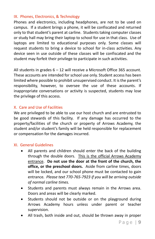#### IX. Phones, Electronics, & Technology

Phones and electronics, including headphones, are not to be used on campus. If a student brings a phone, it will be confiscated and returned only to that student's parent at carline. Students taking computer classes or study hall may bring their laptop to school for use in that class. Use of laptops are limited to educational purposes only. Some classes will request students to bring a device to school for in-class activities. Any device seen in use outside of these classes will be confiscated and the student may forfeit their privilege to participate in such activities.

All students in grades 6 – 12 will receive a Microsoft Office 365 account. These accounts are intended for school use only. Student access has been limited where possible to prohibit unsupervised conduct. It is the parent's responsibility, however, to oversee the use of these accounts. If inappropriate conversations or activity is suspected, students may lose the privilege of this access.

## X. Care and Use of Facilities

We are privileged to be able to use our host church and are entrusted to be good stewards of this facility. If any damage has occurred to the property/facilities of the church or property of Arrows Academy, the student and/or student's family will be held responsible for replacement or compensation for the damages incurred.

#### XI. General Guidelines

- All parents and children should enter the back of the building through the double doors. This is the official Arrows Academy entrance. **Do not use the door at the front of the church, the office, or the preschool doors.** Aside from carline times, doors will be locked, and our school phone must be contacted to gain entrance*. Please text 770-765-7923 if you will be arriving outside of normal carline times.*
- Students and parents must always remain in the Arrows area. Doors and areas will be clearly marked.
- Students should not be outside or on the playground during Arrows Academy hours unless under parent or teacher supervision.
- All trash, both inside and out, should be thrown away in proper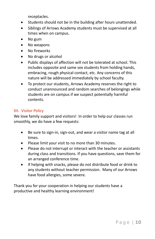receptacles.

- Students should not be in the building after hours unattended.
- Siblings of Arrows Academy students must be supervised at all times when on campus.
- No gum
- No weapons
- No fireworks
- No drugs or alcohol
- Public displays of affection will not be tolerated at school. This includes opposite and same sex students from holding hands, embracing, rough physical contact, etc. Any concerns of this nature will be addressed immediately by school faculty.
- To protect our students, Arrows Academy reserves the right to conduct unannounced and random searches of belongings while students are on campus if we suspect potentially harmful contents.

## XII. Visitor Policy

We love family support and visitors! In order to help our classes run smoothly, we do have a few requests:

- Be sure to sign-in, sign-out, and wear a visitor name tag at all times.
- Please limit your visit to no more than 30 minutes.
- Please do not interrupt or interact with the teacher or assistants during class and transitions. If you have questions, save them for an arranged conference time.
- If helping with snacks, please do not distribute food or drink to any students without teacher permission. Many of our Arrows have food allergies, some severe.

Thank you for your cooperation in helping our students have a productive and healthy learning environment!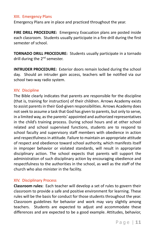#### XIII. Emergency Plans

Emergency Plans are in place and practiced throughout the year.

**FIRE DRILL PROCEDURE:** Emergency Evacuation plans are posted inside each classroom. Students usually participate in a fire drill during the first semester of school.

**TORNADO DRILL PROCEDURE:** Students usually participate in a tornado drill during the 2<sup>nd</sup> semester.

**INTRUDER PROCEDURE:** Exterior doors remain locked during the school day. Should an intruder gain access, teachers will be notified via our school two-way radio system.

#### XIV. Discipline

The Bible clearly indicates that parents are responsible for the discipline (that is, training for instruction) of their children. Arrows Academy exists to assist parents in their God-given responsibilities. Arrows Academy does not seek to assume a task that God has given to parents, but only to serve, in a limited way, as the parents' appointed and authorized representatives in the child's training process. During school hours and at other school related and school supervised functions, students are to respond to school faculty and supervisory staff members with obedience in action and respectfulness in attitude. Failure to maintain an appropriate attitude of respect and obedience toward school authority, which manifests itself in improper behavior or violated standards, will result in appropriate disciplinary action. The school expects that parents will support the administration of such disciplinary action by encouraging obedience and respectfulness to the authorities in the school, as well as the staff of the church who also minister in the facility.

#### XIV. Disciplinary Process

**Classroom rules:** Each teacher will develop a set of rules to govern their classroom to provide a safe and positive environment for learning. These rules will be the basis for conduct for those students throughout the year. Classroom guidelines for behavior and work may vary slightly among teachers. Students are expected to adjust and accommodate these differences and are expected to be a good example. Attitudes, behavior,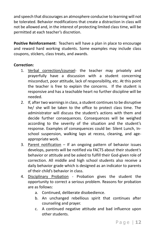and speech that discourages an atmosphere conducive to learning will not be tolerated. Behavior modifications that create a distraction in class will not be allowed and, in the interest of protecting limited class time, will be permitted at each teacher's discretion.

**Positive Reinforcement:** Teachers will have a plan in place to encourage and reward hard working students. Some examples may include class coupons, stickers, class treats, and awards.

## **Correction:**

- 1. Verbal correction/counsel- the teacher may privately and prayerfully have a discussion with a student concerning misconduct, poor attitude, lack of responsibility, etc. At this point the teacher is free to explain the concerns. If the student is responsive and has a teachable heart no further discipline will be needed.
- 2. If, after two warnings in class, a student continues to be disruptive he/ she will be taken to the office to protect class time. The administrator will discuss the student's actions with them and decide further consequences. Consequences will be weighed according to the severity of the situation and the student's response. Examples of consequences could be: Silent Lunch, Inschool suspension, walking laps at recess, cleaning, and ageappropriate work.
- 3. Parent notification If an ongoing pattern of behavior issues develops, parents will be notified via FACTS about their student's behavior or attitude and be asked to fulfill their God-given role of correction. All middle and high school students also receive a daily behavior grade which is designed as an indicator to parents of their child's behavior in class.
- 4. Disciplinary Probation Probation gives the student the opportunity to correct a serious problem. Reasons for probation are as follows:
	- a. Continued, deliberate disobedience.
	- b. An unchanged rebellious spirit that continues after counseling and prayer.
	- c. A continued negative attitude and bad influence upon other students.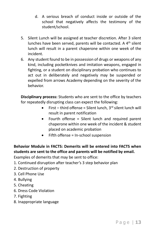- d. A serious breach of conduct inside or outside of the school that negatively affects the testimony of the student/school.
- 5. Silent Lunch will be assigned at teacher discretion. After 3 silent lunches have been served, parents will be contacted. A 4<sup>th</sup> silent lunch will result in a parent chaperone within one week of the incident.
- 6. Any student found to be in possession of drugs or weapons of any kind, including pocketknives and imitation weapons, engaged in fighting, or a student on disciplinary probation who continues to act out in deliberately and negatively may be suspended or expelled from arrows Academy depending on the severity of the behavior.

**Disciplinary process:** Students who are sent to the office by teachers for repeatedly disrupting class can expect the following:

- First third offense = Silent lunch,  $3^{rd}$  silent lunch will result in parent notification
- Fourth offense = Silent lunch and required parent chaperone within one week of the incident & student placed on academic probation
- Fifth offense = In-school suspension

## **Behavior Module in FACTS: Demerits will be entered into FACTS when students are sent to the office and parents will be notified by email.**

Examples of demerits that may be sent to office:

- 1. Continued disruption after teacher's 3 step behavior plan
- 2. Destruction of property
- 3. Cell Phone Use
- 4. Bullying
- 5. Cheating
- 6. Dress Code Violation
- 7. Fighting
- 8. Inappropriate language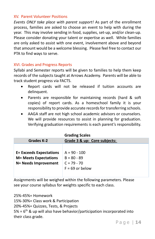#### XV. Parent Volunteer Positions

*Events ONLY take place with parent support!* As part of the enrollment process, families are asked to choose an event to help with during the year. This may involve sending in food, supplies, set-up, and/or clean-up. Please consider donating your talent or expertise as well. While families are only asked to assist with one event, involvement above and beyond that amount would be a welcome blessing. Please feel free to contact our PTA to find ways to serve.

#### XVI. Grades and Progress Reports

Syllabi and Semester reports will be given to families to help them keep records of the subjects taught at Arrows Academy. Parents will be able to track student progress via FACTS.

- Report cards will not be released if tuition accounts are delinquent.
- Parents are responsible for maintaining records (hard & soft copies) of report cards. As a homeschool family it is your responsibility to provide accurate records for transferring schools.
- AAGA staff are not high school academic advisors or counselors. We will provide resources to assist in planning for graduation. Verifying graduation requirements is each parent's responsibility.

|                                | <b>Grading Scales</b>        |
|--------------------------------|------------------------------|
| <b>Grades K-2</b>              | Grade 3 & up: Core subjects: |
|                                |                              |
| <b>E= Exceeds Expectations</b> | $A = 90 - 100$               |
| <b>M= Meets Expectations</b>   | $B = 80 - 89$                |
| N= Needs Improvement           | $C = 79 - 70$                |
|                                | $F = 69$ or below            |
|                                |                              |

Assignments will be weighed within the following parameters. Please see your course syllabus for weights specific to each class.

25%-45%= Homework 15%-30%= Class work & Participation 20%-45%= Quizzes, Tests, & Projects  $5\%$  =  $6<sup>th</sup>$  & up will also have behavior/participation incorporated into their class grade.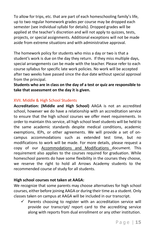To allow for trips, etc. that are part of each homeschooling family's life, up to two regular homework grades per course may be dropped each semester (see individual syllabi for details). Dropped grades will be applied at the teacher's discretion and will not apply to quizzes, tests, projects, or special assignments. Additional exceptions will not be made aside from extreme situations and with administrative approval.

The homework policy for students who miss a day or two is that a student's work is due on the day they return. If they miss multiple days, special arrangements can be made with the teacher. Please refer to each course syllabus for specific late work policies. No work will be accepted after two weeks have passed since the due date without special approval from the principal.

**Students who are in class on the day of a test or quiz are responsible to take that assessment on the day it is given.**

## XVII. Middle & High School Students

**Accreditation: (Middle and High School)** AAGA is not an accredited school, however we do have a relationship with an accreditation service to ensure that the high school courses we offer meet requirements. In order to maintain this service, all high school level students will be held to the same academic standards despite medical conditions, academic exemptions, IEPs, or other agreements. We will provide a set of oncampus accommodations such as extended test time, but no modifications to work will be made. For more details, please request a copy of our Accommodations and Modifications document. This requirement also applies to the courses required for graduation. While homeschool parents do have some flexibility in the courses they choose, we reserve the right to hold all Arrows Academy students to the recommended course of study for all students.

## **High school courses not taken at AAGA:**

We recognize that some parents may choose alternatives for high school courses, either before joining AAGA or during their time as a student. Only classes taken on campus at AAGA will be included in our transcript.

Parents choosing to register with an accreditation service will provide our transcript/ report card to the accrediting service along with reports from dual enrollment or any other institution.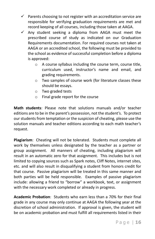- $\checkmark$  Parents choosing to not register with an accreditation service are responsible for verifying graduation requirements are met and record keeping of all courses, including those taken at AAGA.
- $\checkmark$  Any student seeking a diploma from AAGA must meet the prescribed course of study as indicated on our Graduation Requirements documentation. For required courses not taken at AAGA or an accredited school, the following must be provided to the school as evidence of successful completion before a diploma is approved:
	- o A course syllabus including the course term, course title, curriculum used, instructor's name and email, and grading requirements.
	- o Two samples of course work (for literature classes these should be essays.
	- o Two graded tests
	- o Final grade report for the course

**Math students**: Please note that solutions manuals and/or teacher editions are to be in the parent's possession, not the student's. To protect our students from temptation or the suspicion of cheating, please use the solution manuals and teacher editions according to each math teacher's request.

**Plagiarism**: Cheating will not be tolerated. Students must complete all work by themselves unless designated by the teacher as a partner or group assignment. All manners of cheating, including plagiarism will result in an automatic zero for that assignment. This includes but is not limited to copying sources such as Spark notes, Cliff Notes, internet sites, etc. and will also result in disqualifying a student from honors credit for that course. Passive plagiarism will be treated in this same manner and both parties will be held responsible. Examples of passive plagiarism include: allowing a friend to "borrow" a workbook, text, or assignment with the necessary work completed or already in progress.

**Academic Probation**: Students who earn less than a 70% for their final grade in any course may only continue at AAGA the following year at the discretion of school administration. If approval is given, the student will be on academic probation and must fulfill all requirements listed in their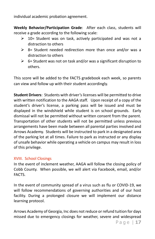individual academic probation agreement.

**Weekly Behavior/Participation Grade**: After each class, students will receive a grade according to the following scale:

- $\geq$  10= Student was on task, actively participated and was not a distraction to others
- $\geq$  8= Student needed redirection more than once and/or was a distraction to others
- $\geq$  6= Student was not on task and/or was a significant disruption to others.

This score will be added to the FACTS gradebook each week, so parents can view and follow up with their student accordingly.

**Student Drivers**: Students with driver's licenses will be permitted to drive with written notification to the AAGA staff. Upon receipt of a copy of the student's driver's license, a parking pass will be issued and must be displayed in the windshield while student is on school grounds. Early dismissal will not be permitted without written consent from the parent. Transportation of other students will not be permitted unless previous arrangements have been made between all parental parties involved and Arrows Academy. Students will be instructed to park in a designated area of the parking lot at all times. Failure to park as instructed or any display of unsafe behavior while operating a vehicle on campus may result in loss of this privilege.

## XVIII. School Closings

In the event of inclement weather, AAGA will follow the closing policy of Cobb County. When possible, we will alert via Facebook, email, and/or FACTS.

In the event of community spread of a virus such as flu or COVID-19, we will follow recommendations of governing authorities and of our host facility. During a prolonged closure we will implement our distance learning protocol.

Arrows Academy of Georgia, Inc does not reduce or refund tuition for days missed due to emergency closings for weather, severe and widespread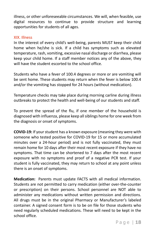illness, or other unforeseeable circumstances. We will, when feasible, use digital resources to continue to provide structure and learning opportunities for students of all ages.

#### XIX. Illness

In the interest of every child's well-being, parents MUST keep their child home when he/she is sick. If a child has symptoms such as elevated temperature, rash, vomiting, excessive nasal discharge or diarrhea, please keep your child home. If a staff member notices any of the above, they will have the student escorted to the school office.

Students who have a fever of 100.4 degrees or more or are vomiting will be sent home. These students may return when the fever is below 100.4 and/or the vomiting has stopped for 24 hours (without medication).

Temperature checks may take place during morning carline during illness outbreaks to protect the health and well-being of our students and staff.

To prevent the spread of the flu, if one member of the household is diagnosed with influenza, please keep all siblings home for one week from the diagnosis or onset of symptoms.

**COVID-19:** If your student has a known exposure (meaning they were with someone who tested positive for COVID-19 for 15 or more accumulated minutes over a 24-hour period) and is not fully vaccinated, they must remain home for 10 days after their most recent exposure if they have no symptoms. That time can be shortened to 7 days after the most recent exposure with no symptoms and proof of a negative PCR test. If your student is fully vaccinated, they may return to school at any point unless there is an onset of symptoms.

**Medication:** Parents must update FACTS with all medical information. Students are not permitted to carry medication (either over-the-counter or prescription) on their persons. School personnel are NOT able to administer any medications without written permission and directions. All drugs must be in the original Pharmacy or Manufacturer's labeled container. A signed consent form is to be on file for those students who need regularly scheduled medications. These will need to be kept in the school office.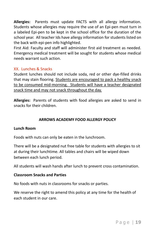**Allergies:** Parents must update FACTS with all allergy information. Students whose allergies may require the use of an Epi-pen must turn in a labeled Epi-pen to be kept in the school office for the duration of the school year. All teacher Ids have allergy information for students listed on the back with epi-pen info highlighted.

First Aid: Faculty and staff will administer first aid treatment as needed. Emergency medical treatment will be sought for students whose medical needs warrant such action.

## XX. Lunches & Snacks

Student lunches should not include soda, red or other dye-filled drinks that may stain flooring. Students are encouraged to pack a healthy snack to be consumed mid-morning. Students will have a teacher designated snack time and may not snack throughout the day.

**Allergies:** Parents of students with food allergies are asked to send in snacks for their children.

## **ARROWS ACADEMY FOOD ALLERGY POLICY**

#### **Lunch Room**

Foods with nuts can only be eaten in the lunchroom.

There will be a designated nut free table for students with allergies to sit at during their lunchtime. All tables and chairs will be wiped down between each lunch period.

All students will wash hands after lunch to prevent cross contamination.

#### **Classroom Snacks and Parties**

No foods with nuts in classrooms for snacks or parties.

We reserve the right to amend this policy at any time for the health of each student in our care.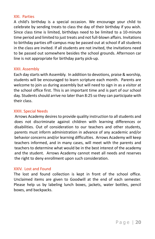#### XXI. Parties

A child's birthday is a special occasion. We encourage your child to celebrate by sending treats to class the day of their birthday if you wish. Since class time is limited, birthdays need to be limited to a 10-minute time period and limited to just treats and not full-blown affairs. Invitations to birthday parties off-campus may be passed out at school if all students in the class are invited. If all students are not invited, the invitations need to be passed out somewhere besides the school grounds. Afternoon car line is not appropriate for birthday party pick-up.

#### XXII. Assembly

Each day starts with Assembly. In addition to devotions, praise & worship, students will be encouraged to learn scripture each month. Parents are welcome to join us during assembly but will need to sign in as a visitor at the school office first. This is an important time and is part of our school day. Students should arrive no later than 8:25 so they can participate with their class.

#### XXIII. Special Needs

Arrows Academy desires to provide quality instruction to all students and does not discriminate against children with learning differences or disabilities. Out of consideration to our teachers and other students, parents must inform administration in advance of any academic and/or behavior concerns and/or learning difficulties. Arrows Academy will keep teachers informed, and in many cases, will meet with the parents and teachers to determine what would be in the best interest of the academy and the student. Arrows Academy cannot meet all needs and reserves the right to deny enrollment upon such consideration.

#### XXIV. Lost and Found

The lost and found collection is kept in front of the school office. Unclaimed items are given to Goodwill at the end of each semester. Please help us by labeling lunch boxes, jackets, water bottles, pencil boxes, and backpacks.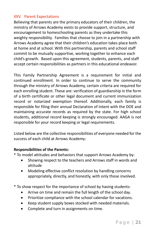## XXV. Parent Expectations

Believing that parents are the primary educators of their children, the ministry of Arrows Academy exists to provide support, structure, and encouragement to homeschooling parents as they undertake this weighty responsibility. Families that choose to join in a partnership with Arrows Academy agree that their children's education takes place both at home and at school. With this partnership, parents and school staff commit to be mutually supportive, working together to enhance each child's growth. Based upon this agreement, students, parents, and staff accept certain responsibilities as partners in this educational endeavor.

This Family Partnership Agreement is a requirement for initial and continued enrollment. In order to continue to serve the community through the ministry of Arrows Academy, certain criteria are required for each enrolling student. These are: verification of guardianship in the form of a birth certificate or other legal document and current immunization record or notarized exemption thereof. Additionally, each family is responsible for filing their annual Declaration of Intent with the DOE and maintaining accurate records as required by the state. For high school students, additional record keeping is strongly encouraged. AAGA is not responsible for your record keeping or legal requirements.

Listed below are the collective responsibilities of everyone needed for the success of each child at Arrows Academy:

#### **Responsibilities of the Parents:**

- \* To model attitudes and behaviors that support Arrows Academy by:
	- Showing respect to the teachers and Arrows staff in words and attitude
	- Modeling effective conflict resolution by handling concerns appropriately, directly, and honestly, with only those involved.
- \* To show respect for the importance of school by having students:
	- Arrive on time and remain the full length of the school day.
	- Prioritize compliance with the school calendar for vacations.
	- Keep student supply boxes stocked with needed materials.
	- Complete and turn in assignments on time.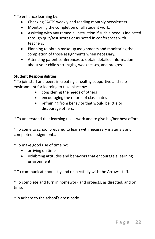- \* To enhance learning by:
	- Checking FACTS weekly and reading monthly newsletters.
	- Monitoring the completion of all student work.
	- Assisting with any remedial instruction if such a need is indicated through quiz/test scores or as noted in conferences with teachers.
	- Planning to obtain make-up assignments and monitoring the completion of those assignments when necessary.
	- Attending parent conferences to obtain detailed information about your child's strengths, weaknesses, and progress.

#### **Student Responsibilities**

\* To join staff and peers in creating a healthy supportive and safe environment for learning to take place by:

- considering the needs of others
- encouraging the efforts of classmates
- refraining from behavior that would belittle or discourage others.

\* To understand that learning takes work and to give his/her best effort.

\* To come to school prepared to learn with necessary materials and completed assignments.

\* To make good use of time by:

- arriving on time
- exhibiting attitudes and behaviors that encourage a learning environment.

\* To communicate honestly and respectfully with the Arrows staff.

\* To complete and turn in homework and projects, as directed, and on time.

\*To adhere to the school's dress code.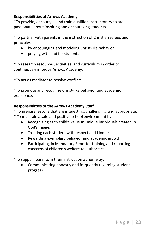## **Responsibilities of Arrows Academy**

\*To provide, encourage, and train qualified instructors who are passionate about inspiring and encouraging students.

\*To partner with parents in the instruction of Christian values and principles.

- by encouraging and modeling Christ-like behavior
- praying with and for students

\*To research resources, activities, and curriculum in order to continuously improve Arrows Academy.

\*To act as mediator to resolve conflicts.

\*To promote and recognize Christ-like behavior and academic excellence.

## **Responsibilities of the Arrows Academy Staff**

- \* To prepare lessons that are interesting, challenging, and appropriate.
- \* To maintain a safe and positive school environment by:
	- Recognizing each child's value as unique individuals created in God's image.
	- Treating each student with respect and kindness.
	- Rewarding exemplary behavior and academic growth
	- Participating in Mandatory Reporter training and reporting concerns of children's welfare to authorities.

\*To support parents in their instruction at home by:

• Communicating honestly and frequently regarding student progress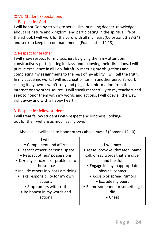## XXVI. Student Expectations

## 1. Respect for God

I will honor God by striving to serve Him, pursuing deeper knowledge about His nature and kingdom, and participating in the spiritual life of the school. I will work for the Lord with all my heart (Colossians 3:23-24) and seek to keep his commandments (Ecclesiastes 12:13)

## 2. Respect for teacher

I will show respect for my teachers by giving them my attention, constructively participating in class, and following their directions. I will pursue excellence in all I do, faithfully meeting my obligations and completing my assignments to the best of my ability. I will tell the truth. In my academic work, I will not cheat or turn in another person's work calling it my own. I won't copy and plagiarize information from the internet or any other source. I will speak respectfully to my teachers and seek to honor them with my words and actions. I will obey all the way, right away and with a happy heart.

## 3. Respect for fellow students

I will treat fellow students with respect and kindness, lookingout for their welfare as much as my own.

Above all, I will seek to honor others above myself (Romans 12:10)

| I will:                             |                                   |
|-------------------------------------|-----------------------------------|
| • Compliment and affirm             | I will not:                       |
| • Respect others' personal space    | • Tease, provoke, threaten, name  |
| • Respect others' possessions       | call, or say words that are cruel |
| • Take my concerns or problems to   | and hurtful                       |
| the source                          | • Engage in any inappropriate     |
| • Include others in what I am doing | physical contact                  |
| • Take responsibility for my own    | • Gossip or spread rumors         |
| actions                             | • Exclude my peers                |
| • Stop rumors with truth            | • Blame someone for something I   |
| • Be honest in my words and         | did                               |
| actions                             | • Cheat                           |
|                                     |                                   |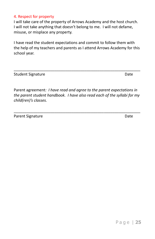#### 4. Respect for property

I will take care of the property of Arrows Academy and the host church. I will not take anything that doesn't belong to me. I will not defame, misuse, or misplace any property.

I have read the student expectations and commit to follow them with the help of my teachers and parents as I attend Arrows Academy for this school year.

\_\_\_\_\_\_\_\_\_\_\_\_\_\_\_\_\_\_\_\_\_\_\_\_\_\_\_\_\_\_\_\_\_\_\_\_\_\_\_\_\_\_\_\_\_\_\_\_\_\_\_\_\_\_\_\_\_\_\_

Student Signature Date

Parent agreement*: I have read and agree to the parent expectations in the parent student handbook. I have also read each of the syllabi for my child(ren)'s classes.*

\_\_\_\_\_\_\_\_\_\_\_\_\_\_\_\_\_\_\_\_\_\_\_\_\_\_\_\_\_\_\_\_\_\_\_\_\_\_\_\_\_\_\_\_\_\_\_\_\_\_\_\_\_\_\_\_\_\_\_

Parent Signature Date